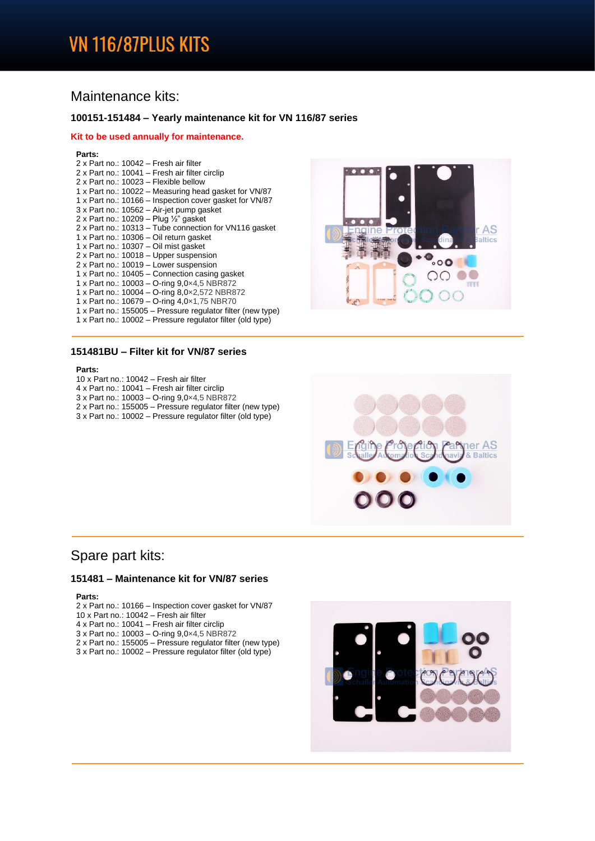# **VN 116/87PLUS KITS**

## Maintenance kits:

### **100151-151484 – Yearly maintenance kit for VN 116/87 series**

### **Kit to be used annually for maintenance.**

#### **Parts:**

| 2 x Part no.: 10042 - Fresh air filter                      |
|-------------------------------------------------------------|
| 2 x Part no.: 10041 – Fresh air filter circlip              |
| 2 x Part no.: 10023 - Flexible bellow                       |
| 1 x Part no.: 10022 – Measuring head gasket for VN/87       |
| 1 x Part no.: 10166 – Inspection cover gasket for VN/87     |
| 3 x Part no.: 10562 - Air-jet pump gasket                   |
| 2 x Part no.: 10209 – Plug $\frac{1}{2}$ gasket             |
| 2 x Part no.: 10313 – Tube connection for VN116 gasket      |
| 1 x Part no.: 10306 - Oil return gasket                     |
| 1 x Part no.: 10307 - Oil mist gasket                       |
| 2 x Part no.: 10018 - Upper suspension                      |
| 2 x Part no.: 10019 - Lower suspension                      |
| 1 x Part no.: 10405 – Connection casing gasket              |
| 1 x Part no.: 10003 - O-ring 9,0x4,5 NBR872                 |
| 1 x Part no.: 10004 - O-ring 8,0x2,572 NBR872               |
| 1 x Part no.: 10679 - O-ring 4,0×1,75 NBR70                 |
| 1 x Part no.: 155005 – Pressure regulator filter (new type) |
| 1 x Part no.: 10002 – Pressure regulator filter (old type)  |

### **151481BU – Filter kit for VN/87 series**

### **Parts:**

- 10 x Part no.: 10042 Fresh air filter
- 4 x Part no.: 10041 Fresh air filter circlip
- 3 x Part no.: 10003 O-ring 9,0×4,5 NBR872
- 2 x Part no.: 155005 Pressure regulator filter (new type)
- 3 x Part no.: 10002 Pressure regulator filter (old type)





## Spare part kits:

### **151481 – Maintenance kit for VN/87 series**

#### **Parts:**

- 2 x Part no.: 10166 Inspection cover gasket for VN/87
- 10 x Part no.: 10042 Fresh air filter
- 4 x Part no.: 10041 Fresh air filter circlip
- 3 x Part no.: 10003 O-ring 9,0×4,5 NBR872
- 2 x Part no.: 155005 Pressure regulator filter (new type)
- 3 x Part no.: 10002 Pressure regulator filter (old type)

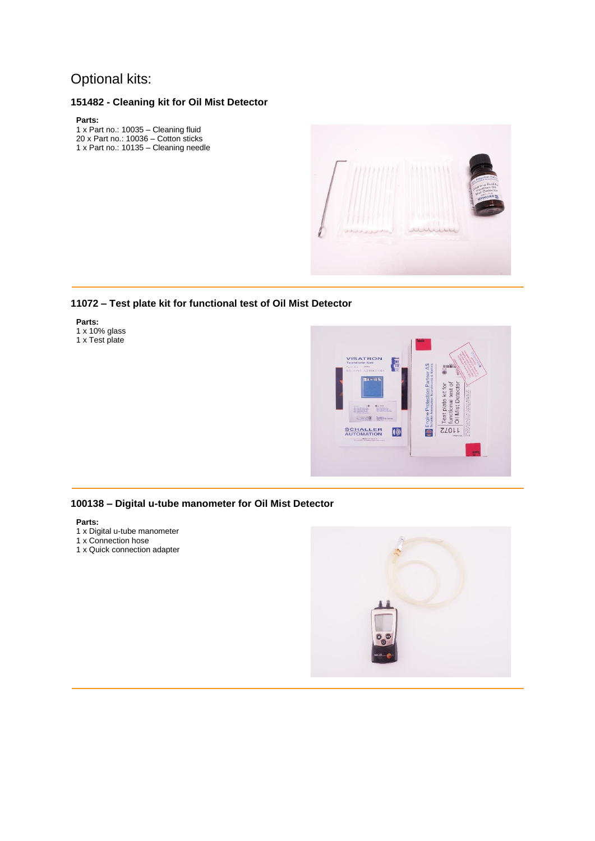## Optional kits:

## **151482 - Cleaning kit for Oil Mist Detector**

#### **Parts:**

1 x Part no.: 10035 – Cleaning fluid 20 x Part no.: 10036 – Cotton sticks 1 x Part no.: 10135 – Cleaning needle



## **11072 – Test plate kit for functional test of Oil Mist Detector**

### **Parts:**

1 x 10% glass 1 x Test plate



### **100138 – Digital u-tube manometer for Oil Mist Detector**

### **Parts:**

- 1 x Digital u-tube manometer
- 1 x Connection hose
- 1 x Quick connection adapter